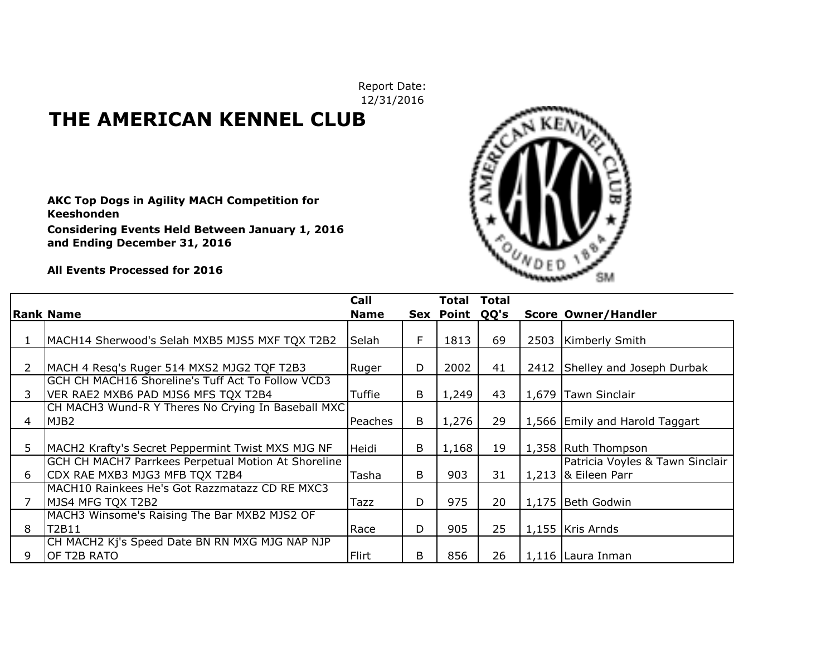Report Date: 12/31/2016

## **THE AMERICAN KENNEL CLUB**

**AKC Top Dogs in Agility MACH Competition for Keeshonden Considering Events Held Between January 1, 2016 and Ending December 31, 2016**



**All Events Processed for 2016**

|               |                                                     | Call        |   | Total     | <b>Total</b> |      |                                 |
|---------------|-----------------------------------------------------|-------------|---|-----------|--------------|------|---------------------------------|
|               | <b>Rank Name</b>                                    | <b>Name</b> |   | Sex Point | QQ's         |      | <b>Score Owner/Handler</b>      |
|               |                                                     |             |   |           |              |      |                                 |
|               | MACH14 Sherwood's Selah MXB5 MJS5 MXF TQX T2B2      | Selah       | F | 1813      | 69           | 2503 | <b>Kimberly Smith</b>           |
|               |                                                     |             |   |           |              |      |                                 |
| $\mathcal{P}$ | MACH 4 Resq's Ruger 514 MXS2 MJG2 TQF T2B3          | Ruger       | D | 2002      | 41           |      | 2412 Shelley and Joseph Durbak  |
|               | GCH CH MACH16 Shoreline's Tuff Act To Follow VCD3   |             |   |           |              |      |                                 |
| 3.            | VER RAE2 MXB6 PAD MJS6 MFS TQX T2B4                 | Tuffie      | B | 1,249     | 43           |      | 1,679 Tawn Sinclair             |
|               | CH MACH3 Wund-R Y Theres No Crying In Baseball MXC  |             |   |           |              |      |                                 |
| 4             | MJB <sub>2</sub>                                    | Peaches     | B | 1,276     | 29           |      | 1,566 Emily and Harold Taggart  |
|               |                                                     |             |   |           |              |      |                                 |
| 5.            | MACH2 Krafty's Secret Peppermint Twist MXS MJG NF   | Heidi       | B | 1,168     | 19           |      | 1,358 Ruth Thompson             |
|               | GCH CH MACH7 Parrkees Perpetual Motion At Shoreline |             |   |           |              |      | Patricia Voyles & Tawn Sinclair |
| 6             | CDX RAE MXB3 MJG3 MFB TQX T2B4                      | Tasha       | B | 903       | 31           |      | $1,213$ & Eileen Parr           |
|               | MACH10 Rainkees He's Got Razzmatazz CD RE MXC3      |             |   |           |              |      |                                 |
|               | MJS4 MFG TQX T2B2                                   | Tazz        | D | 975       | 20           |      | 1,175 Beth Godwin               |
|               | MACH3 Winsome's Raising The Bar MXB2 MJS2 OF        |             |   |           |              |      |                                 |
| 8             | T2B11                                               | Race        | D | 905       | 25           |      | 1,155 Kris Arnds                |
|               | CH MACH2 Kj's Speed Date BN RN MXG MJG NAP NJP      |             |   |           |              |      |                                 |
| 9             | OF T2B RATO                                         | Flirt       | B | 856       | 26           |      | 1,116 Laura Inman               |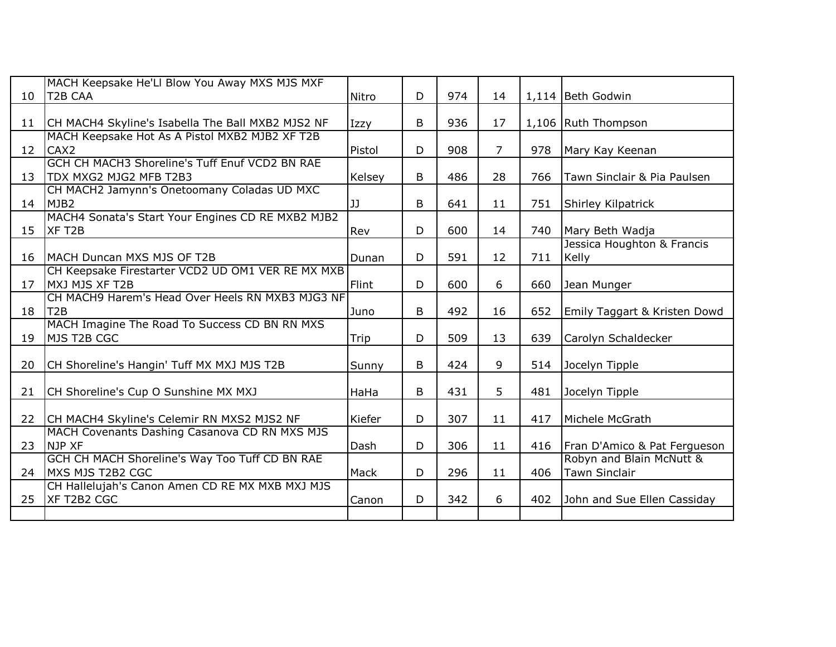|                 | MACH Keepsake He'Ll Blow You Away MXS MJS MXF                                   |        |   |     |                |     |                                           |
|-----------------|---------------------------------------------------------------------------------|--------|---|-----|----------------|-----|-------------------------------------------|
| 10 <sup>°</sup> | T2B CAA                                                                         | Nitro  | D | 974 | 14             |     | 1,114 Beth Godwin                         |
| 11              | CH MACH4 Skyline's Isabella The Ball MXB2 MJS2 NF                               | Izzy   | B | 936 | 17             |     | 1,106 Ruth Thompson                       |
| 12              | MACH Keepsake Hot As A Pistol MXB2 MJB2 XF T2B<br>CAX <sub>2</sub>              | Pistol | D | 908 | $\overline{7}$ | 978 | Mary Kay Keenan                           |
| 13              | GCH CH MACH3 Shoreline's Tuff Enuf VCD2 BN RAE<br><b>TDX MXG2 MJG2 MFB T2B3</b> | Kelsey | B | 486 | 28             | 766 | Tawn Sinclair & Pia Paulsen               |
| 14              | CH MACH2 Jamynn's Onetoomany Coladas UD MXC<br>MJB <sub>2</sub>                 | JJ     | B | 641 | 11             | 751 | Shirley Kilpatrick                        |
| 15              | MACH4 Sonata's Start Your Engines CD RE MXB2 MJB2<br>XF T <sub>2</sub> B        | Rev    | D | 600 | 14             | 740 | Mary Beth Wadja                           |
| 16              | MACH Duncan MXS MJS OF T2B                                                      | Dunan  | D | 591 | 12             | 711 | Jessica Houghton & Francis<br>Kelly       |
| 17              | CH Keepsake Firestarter VCD2 UD OM1 VER RE MX MXB<br>MXJ MJS XF T2B             | Flint  | D | 600 | 6              | 660 | Jean Munger                               |
| 18              | CH MACH9 Harem's Head Over Heels RN MXB3 MJG3 NF<br>T <sub>2B</sub>             | Juno   | B | 492 | 16             | 652 | Emily Taggart & Kristen Dowd              |
| 19              | MACH Imagine The Road To Success CD BN RN MXS<br>MJS T2B CGC                    | Trip   | D | 509 | 13             | 639 | Carolyn Schaldecker                       |
| 20              | CH Shoreline's Hangin' Tuff MX MXJ MJS T2B                                      | Sunny  | B | 424 | 9              | 514 | Jocelyn Tipple                            |
| 21              | CH Shoreline's Cup O Sunshine MX MXJ                                            | HaHa   | B | 431 | 5              | 481 | Jocelyn Tipple                            |
| 22              | CH MACH4 Skyline's Celemir RN MXS2 MJS2 NF                                      | Kiefer | D | 307 | 11             | 417 | Michele McGrath                           |
| 23              | MACH Covenants Dashing Casanova CD RN MXS MJS<br>NJP XF                         | Dash   | D | 306 | 11             | 416 | Fran D'Amico & Pat Fergueson              |
| 24              | GCH CH MACH Shoreline's Way Too Tuff CD BN RAE<br>MXS MJS T2B2 CGC              | Mack   | D | 296 | 11             | 406 | Robyn and Blain McNutt &<br>Tawn Sinclair |
| 25              | CH Hallelujah's Canon Amen CD RE MX MXB MXJ MJS<br>XF T2B2 CGC                  | Canon  | D | 342 | 6              | 402 | John and Sue Ellen Cassiday               |
|                 |                                                                                 |        |   |     |                |     |                                           |